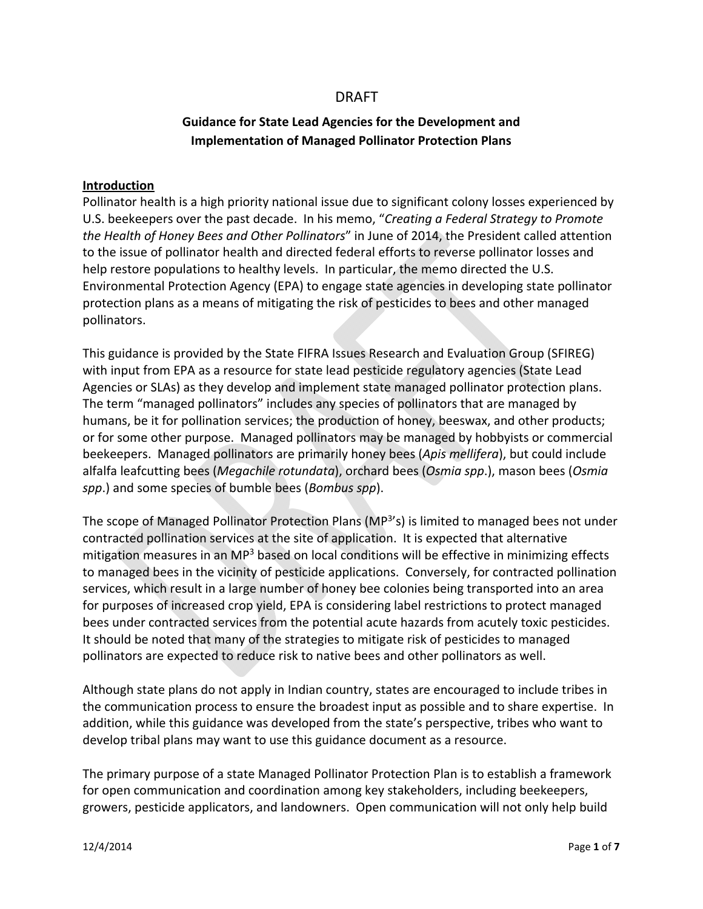# DRAFT

# **Guidance for State Lead Agencies for the Development and Implementation of Managed Pollinator Protection Plans**

#### **Introduction**

Pollinator health is a high priority national issue due to significant colony losses experienced by U.S. beekeepers over the past decade. In his memo, "*Creating a Federal Strategy to Promote the Health of Honey Bees and Other Pollinators*" in June of 2014, the President called attention to the issue of pollinator health and directed federal efforts to reverse pollinator losses and help restore populations to healthy levels. In particular, the memo directed the U.S. Environmental Protection Agency (EPA) to engage state agencies in developing state pollinator protection plans as a means of mitigating the risk of pesticides to bees and other managed pollinators.

This guidance is provided by the State FIFRA Issues Research and Evaluation Group (SFIREG) with input from EPA as a resource for state lead pesticide regulatory agencies (State Lead Agencies or SLAs) as they develop and implement state managed pollinator protection plans. The term "managed pollinators" includes any species of pollinators that are managed by humans, be it for pollination services; the production of honey, beeswax, and other products; or for some other purpose. Managed pollinators may be managed by hobbyists or commercial beekeepers. Managed pollinators are primarily honey bees (*Apis mellifera*), but could include alfalfa leafcutting bees (*Megachile rotundata*), orchard bees (*Osmia spp*.), mason bees (*Osmia spp*.) and some species of bumble bees (*Bombus spp*).

The scope of Managed Pollinator Protection Plans (MP<sup>3</sup>'s) is limited to managed bees not under contracted pollination services at the site of application. It is expected that alternative mitigation measures in an  $MP<sup>3</sup>$  based on local conditions will be effective in minimizing effects to managed bees in the vicinity of pesticide applications. Conversely, for contracted pollination services, which result in a large number of honey bee colonies being transported into an area for purposes of increased crop yield, EPA is considering label restrictions to protect managed bees under contracted services from the potential acute hazards from acutely toxic pesticides. It should be noted that many of the strategies to mitigate risk of pesticides to managed pollinators are expected to reduce risk to native bees and other pollinators as well.

Although state plans do not apply in Indian country, states are encouraged to include tribes in the communication process to ensure the broadest input as possible and to share expertise. In addition, while this guidance was developed from the state's perspective, tribes who want to develop tribal plans may want to use this guidance document as a resource.

The primary purpose of a state Managed Pollinator Protection Plan is to establish a framework for open communication and coordination among key stakeholders, including beekeepers, growers, pesticide applicators, and landowners. Open communication will not only help build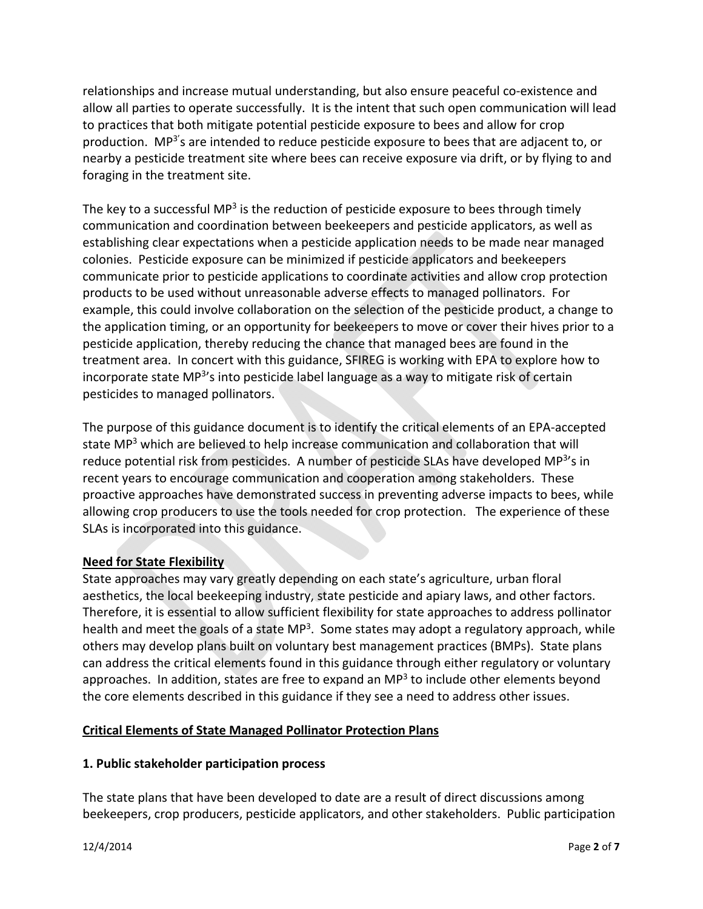relationships and increase mutual understanding, but also ensure peaceful co-existence and allow all parties to operate successfully. It is the intent that such open communication will lead to practices that both mitigate potential pesticide exposure to bees and allow for crop production. MP<sup>3'</sup>s are intended to reduce pesticide exposure to bees that are adjacent to, or nearby a pesticide treatment site where bees can receive exposure via drift, or by flying to and foraging in the treatment site.

The key to a successful MP<sup>3</sup> is the reduction of pesticide exposure to bees through timely communication and coordination between beekeepers and pesticide applicators, as well as establishing clear expectations when a pesticide application needs to be made near managed colonies. Pesticide exposure can be minimized if pesticide applicators and beekeepers communicate prior to pesticide applications to coordinate activities and allow crop protection products to be used without unreasonable adverse effects to managed pollinators. For example, this could involve collaboration on the selection of the pesticide product, a change to the application timing, or an opportunity for beekeepers to move or cover their hives prior to a pesticide application, thereby reducing the chance that managed bees are found in the treatment area. In concert with this guidance, SFIREG is working with EPA to explore how to incorporate state MP<sup>3'</sup>s into pesticide label language as a way to mitigate risk of certain pesticides to managed pollinators.

The purpose of this guidance document is to identify the critical elements of an EPA‐accepted state MP<sup>3</sup> which are believed to help increase communication and collaboration that will reduce potential risk from pesticides. A number of pesticide SLAs have developed MP<sup>3</sup>'s in recent years to encourage communication and cooperation among stakeholders. These proactive approaches have demonstrated success in preventing adverse impacts to bees, while allowing crop producers to use the tools needed for crop protection. The experience of these SLAs is incorporated into this guidance.

# **Need for State Flexibility**

State approaches may vary greatly depending on each state's agriculture, urban floral aesthetics, the local beekeeping industry, state pesticide and apiary laws, and other factors. Therefore, it is essential to allow sufficient flexibility for state approaches to address pollinator health and meet the goals of a state  $MP<sup>3</sup>$ . Some states may adopt a regulatory approach, while others may develop plans built on voluntary best management practices (BMPs). State plans can address the critical elements found in this guidance through either regulatory or voluntary approaches. In addition, states are free to expand an  $MP<sup>3</sup>$  to include other elements beyond the core elements described in this guidance if they see a need to address other issues.

# **Critical Elements of State Managed Pollinator Protection Plans**

#### **1. Public stakeholder participation process**

The state plans that have been developed to date are a result of direct discussions among beekeepers, crop producers, pesticide applicators, and other stakeholders. Public participation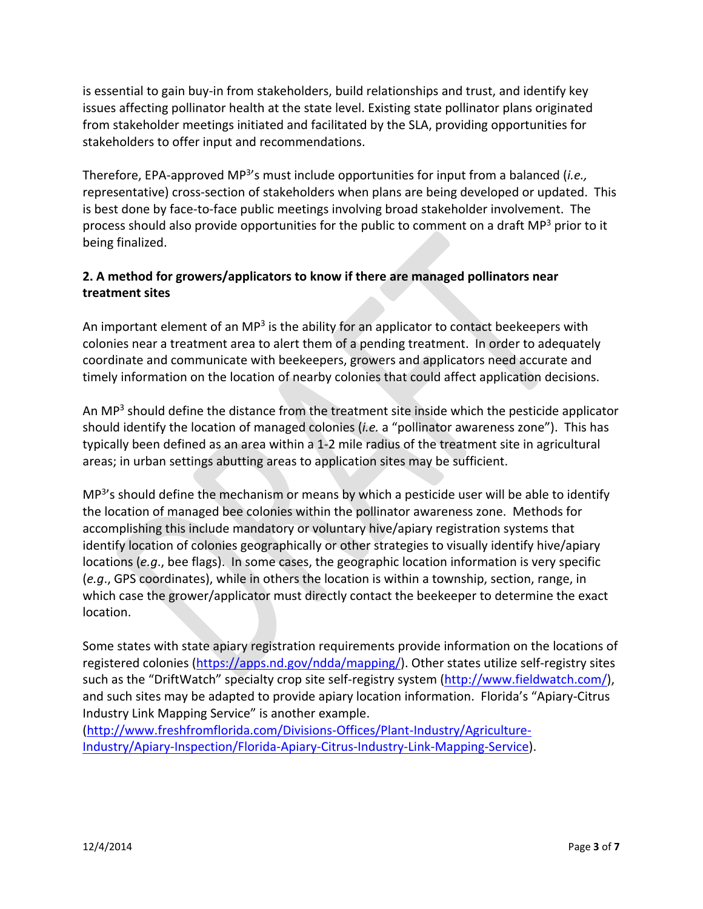is essential to gain buy‐in from stakeholders, build relationships and trust, and identify key issues affecting pollinator health at the state level. Existing state pollinator plans originated from stakeholder meetings initiated and facilitated by the SLA, providing opportunities for stakeholders to offer input and recommendations.

Therefore, EPA‐approved MP3's must include opportunities for input from a balanced (*i.e.,* representative) cross-section of stakeholders when plans are being developed or updated. This is best done by face‐to‐face public meetings involving broad stakeholder involvement. The process should also provide opportunities for the public to comment on a draft MP<sup>3</sup> prior to it being finalized.

# **2. A method for growers/applicators to know if there are managed pollinators near treatment sites**

An important element of an MP<sup>3</sup> is the ability for an applicator to contact beekeepers with colonies near a treatment area to alert them of a pending treatment. In order to adequately coordinate and communicate with beekeepers, growers and applicators need accurate and timely information on the location of nearby colonies that could affect application decisions.

An MP $3$  should define the distance from the treatment site inside which the pesticide applicator should identify the location of managed colonies (*i.e.* a "pollinator awareness zone"). This has typically been defined as an area within a 1‐2 mile radius of the treatment site in agricultural areas; in urban settings abutting areas to application sites may be sufficient.

 $MP<sup>3</sup>'s$  should define the mechanism or means by which a pesticide user will be able to identify the location of managed bee colonies within the pollinator awareness zone. Methods for accomplishing this include mandatory or voluntary hive/apiary registration systems that identify location of colonies geographically or other strategies to visually identify hive/apiary locations (*e.g*., bee flags). In some cases, the geographic location information is very specific (*e.g*., GPS coordinates), while in others the location is within a township, section, range, in which case the grower/applicator must directly contact the beekeeper to determine the exact location.

Some states with state apiary registration requirements provide information on the locations of registered colonies (https://apps.nd.gov/ndda/mapping/). Other states utilize self‐registry sites such as the "DriftWatch" specialty crop site self-registry system (http://www.fieldwatch.com/), and such sites may be adapted to provide apiary location information. Florida's "Apiary‐Citrus Industry Link Mapping Service" is another example.

(http://www.freshfromflorida.com/Divisions‐Offices/Plant‐Industry/Agriculture‐ Industry/Apiary‐Inspection/Florida‐Apiary‐Citrus‐Industry‐Link‐Mapping‐Service).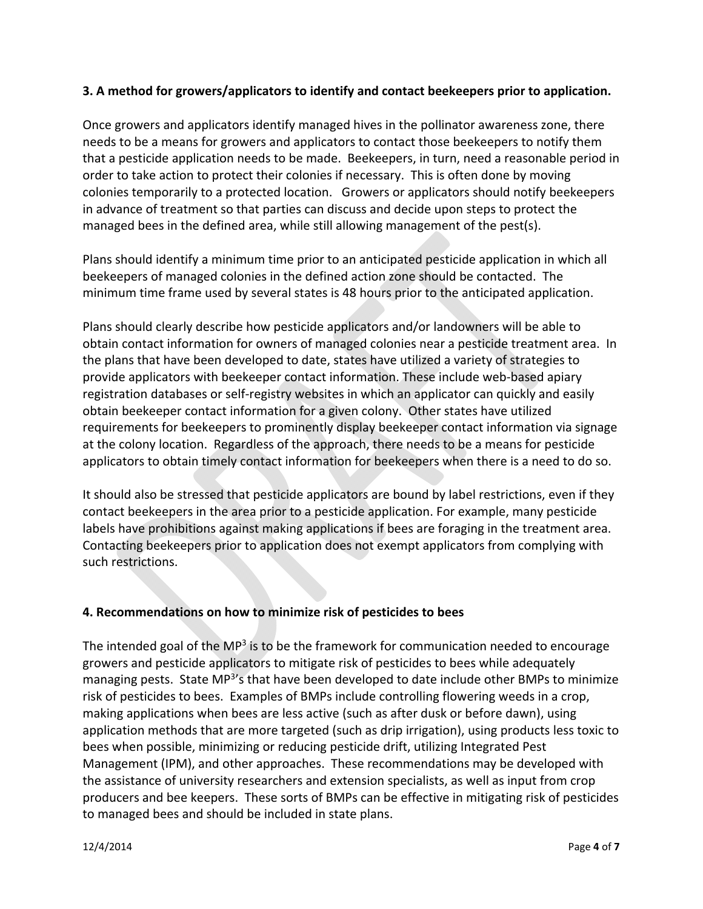### **3. A method for growers/applicators to identify and contact beekeepers prior to application.**

Once growers and applicators identify managed hives in the pollinator awareness zone, there needs to be a means for growers and applicators to contact those beekeepers to notify them that a pesticide application needs to be made. Beekeepers, in turn, need a reasonable period in order to take action to protect their colonies if necessary. This is often done by moving colonies temporarily to a protected location. Growers or applicators should notify beekeepers in advance of treatment so that parties can discuss and decide upon steps to protect the managed bees in the defined area, while still allowing management of the pest(s).

Plans should identify a minimum time prior to an anticipated pesticide application in which all beekeepers of managed colonies in the defined action zone should be contacted. The minimum time frame used by several states is 48 hours prior to the anticipated application.

Plans should clearly describe how pesticide applicators and/or landowners will be able to obtain contact information for owners of managed colonies near a pesticide treatment area. In the plans that have been developed to date, states have utilized a variety of strategies to provide applicators with beekeeper contact information. These include web‐based apiary registration databases or self‐registry websites in which an applicator can quickly and easily obtain beekeeper contact information for a given colony. Other states have utilized requirements for beekeepers to prominently display beekeeper contact information via signage at the colony location. Regardless of the approach, there needs to be a means for pesticide applicators to obtain timely contact information for beekeepers when there is a need to do so.

It should also be stressed that pesticide applicators are bound by label restrictions, even if they contact beekeepers in the area prior to a pesticide application. For example, many pesticide labels have prohibitions against making applications if bees are foraging in the treatment area. Contacting beekeepers prior to application does not exempt applicators from complying with such restrictions.

# **4. Recommendations on how to minimize risk of pesticides to bees**

The intended goal of the  $MP<sup>3</sup>$  is to be the framework for communication needed to encourage growers and pesticide applicators to mitigate risk of pesticides to bees while adequately managing pests. State MP<sup>3</sup>'s that have been developed to date include other BMPs to minimize risk of pesticides to bees. Examples of BMPs include controlling flowering weeds in a crop, making applications when bees are less active (such as after dusk or before dawn), using application methods that are more targeted (such as drip irrigation), using products less toxic to bees when possible, minimizing or reducing pesticide drift, utilizing Integrated Pest Management (IPM), and other approaches. These recommendations may be developed with the assistance of university researchers and extension specialists, as well as input from crop producers and bee keepers. These sorts of BMPs can be effective in mitigating risk of pesticides to managed bees and should be included in state plans.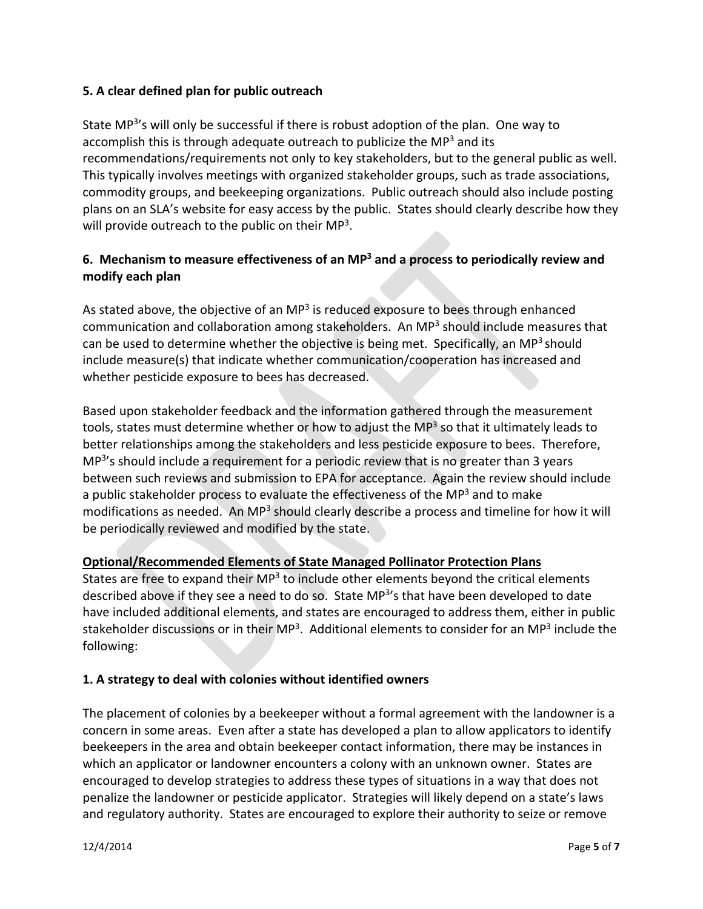### **5. A clear defined plan for public outreach**

State MP<sup>3</sup>'s will only be successful if there is robust adoption of the plan. One way to accomplish this is through adequate outreach to publicize the  $MP<sup>3</sup>$  and its recommendations/requirements not only to key stakeholders, but to the general public as well. This typically involves meetings with organized stakeholder groups, such as trade associations, commodity groups, and beekeeping organizations. Public outreach should also include posting plans on an SLA's website for easy access by the public. States should clearly describe how they will provide outreach to the public on their MP<sup>3</sup>.

# **6. Mechanism to measure effectiveness of an MP3 and a process to periodically review and modify each plan**

As stated above, the objective of an  $MP<sup>3</sup>$  is reduced exposure to bees through enhanced communication and collaboration among stakeholders. An MP3 should include measures that can be used to determine whether the objective is being met. Specifically, an MP<sup>3</sup> should include measure(s) that indicate whether communication/cooperation has increased and whether pesticide exposure to bees has decreased.

Based upon stakeholder feedback and the information gathered through the measurement tools, states must determine whether or how to adjust the MP $3$  so that it ultimately leads to better relationships among the stakeholders and less pesticide exposure to bees. Therefore, MP<sup>3</sup>'s should include a requirement for a periodic review that is no greater than 3 years between such reviews and submission to EPA for acceptance. Again the review should include a public stakeholder process to evaluate the effectiveness of the MP $3$  and to make modifications as needed. An MP<sup>3</sup> should clearly describe a process and timeline for how it will be periodically reviewed and modified by the state.

# **Optional/Recommended Elements of State Managed Pollinator Protection Plans**

States are free to expand their  $MP<sup>3</sup>$  to include other elements beyond the critical elements described above if they see a need to do so. State MP<sup>3</sup>'s that have been developed to date have included additional elements, and states are encouraged to address them, either in public stakeholder discussions or in their MP<sup>3</sup>. Additional elements to consider for an MP<sup>3</sup> include the following:

# **1. A strategy to deal with colonies without identified owners**

The placement of colonies by a beekeeper without a formal agreement with the landowner is a concern in some areas. Even after a state has developed a plan to allow applicators to identify beekeepers in the area and obtain beekeeper contact information, there may be instances in which an applicator or landowner encounters a colony with an unknown owner. States are encouraged to develop strategies to address these types of situations in a way that does not penalize the landowner or pesticide applicator. Strategies will likely depend on a state's laws and regulatory authority. States are encouraged to explore their authority to seize or remove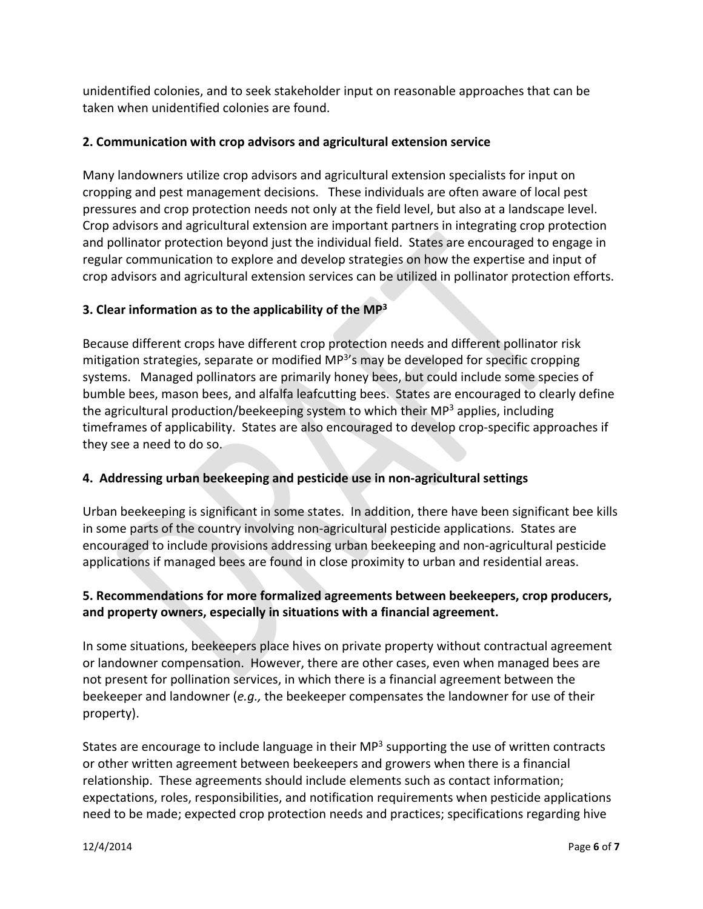unidentified colonies, and to seek stakeholder input on reasonable approaches that can be taken when unidentified colonies are found.

### **2. Communication with crop advisors and agricultural extension service**

Many landowners utilize crop advisors and agricultural extension specialists for input on cropping and pest management decisions. These individuals are often aware of local pest pressures and crop protection needs not only at the field level, but also at a landscape level. Crop advisors and agricultural extension are important partners in integrating crop protection and pollinator protection beyond just the individual field. States are encouraged to engage in regular communication to explore and develop strategies on how the expertise and input of crop advisors and agricultural extension services can be utilized in pollinator protection efforts.

# **3. Clear information as to the applicability of the MP3**

Because different crops have different crop protection needs and different pollinator risk mitigation strategies, separate or modified MP<sup>3'</sup>s may be developed for specific cropping systems. Managed pollinators are primarily honey bees, but could include some species of bumble bees, mason bees, and alfalfa leafcutting bees. States are encouraged to clearly define the agricultural production/beekeeping system to which their  $MP<sup>3</sup>$  applies, including timeframes of applicability. States are also encouraged to develop crop‐specific approaches if they see a need to do so.

# **4. Addressing urban beekeeping and pesticide use in non‐agricultural settings**

Urban beekeeping is significant in some states. In addition, there have been significant bee kills in some parts of the country involving non-agricultural pesticide applications. States are encouraged to include provisions addressing urban beekeeping and non‐agricultural pesticide applications if managed bees are found in close proximity to urban and residential areas.

# **5. Recommendations for more formalized agreements between beekeepers, crop producers, and property owners, especially in situations with a financial agreement.**

In some situations, beekeepers place hives on private property without contractual agreement or landowner compensation. However, there are other cases, even when managed bees are not present for pollination services, in which there is a financial agreement between the beekeeper and landowner (*e.g.,* the beekeeper compensates the landowner for use of their property).

States are encourage to include language in their  $MP<sup>3</sup>$  supporting the use of written contracts or other written agreement between beekeepers and growers when there is a financial relationship. These agreements should include elements such as contact information; expectations, roles, responsibilities, and notification requirements when pesticide applications need to be made; expected crop protection needs and practices; specifications regarding hive